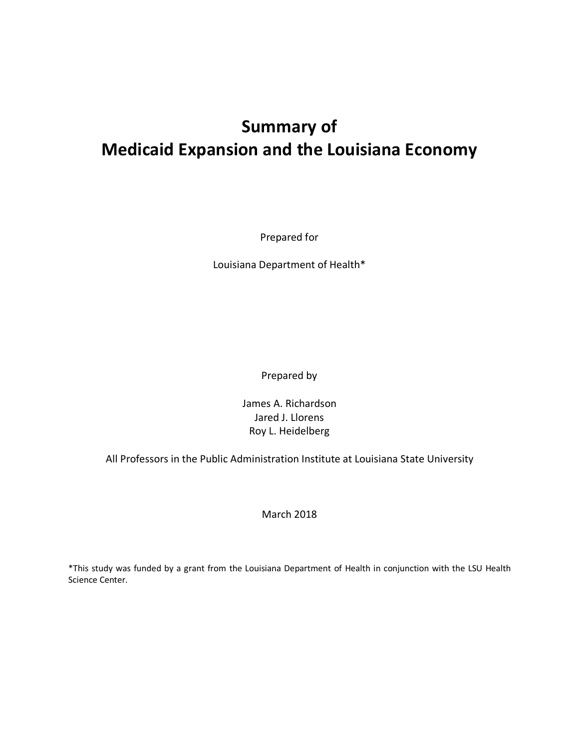## **Summary of Medicaid Expansion and the Louisiana Economy**

Prepared for

Louisiana Department of Health\*

Prepared by

James A. Richardson Jared J. Llorens Roy L. Heidelberg

All Professors in the Public Administration Institute at Louisiana State University

March 2018

\*This study was funded by a grant from the Louisiana Department of Health in conjunction with the LSU Health Science Center.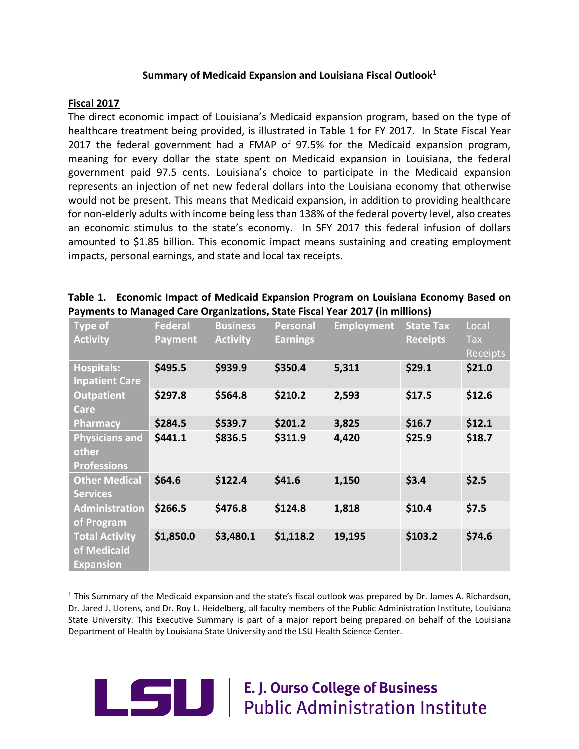#### **Summary of Medicaid Expansion and Louisiana Fiscal Outlook1**

#### **Fiscal 2017**

The direct economic impact of Louisiana's Medicaid expansion program, based on the type of healthcare treatment being provided, is illustrated in Table 1 for FY 2017. In State Fiscal Year 2017 the federal government had a FMAP of 97.5% for the Medicaid expansion program, meaning for every dollar the state spent on Medicaid expansion in Louisiana, the federal government paid 97.5 cents. Louisiana's choice to participate in the Medicaid expansion represents an injection of net new federal dollars into the Louisiana economy that otherwise would not be present. This means that Medicaid expansion, in addition to providing healthcare for non-elderly adults with income being less than 138% of the federal poverty level, also creates an economic stimulus to the state's economy. In SFY 2017 this federal infusion of dollars amounted to \$1.85 billion. This economic impact means sustaining and creating employment impacts, personal earnings, and state and local tax receipts.

| Table 1. Economic Impact of Medicaid Expansion Program on Louisiana Economy Based on |
|--------------------------------------------------------------------------------------|
| Payments to Managed Care Organizations, State Fiscal Year 2017 (in millions)         |

| Type of<br><b>Activity</b>                               | <b>Federal</b><br><b>Payment</b> | <b>Business</b><br><b>Activity</b> | Personal<br><b>Earnings</b> | <b>Employment</b> | <b>State Tax</b><br><b>Receipts</b> | Local<br>Tax<br><b>Receipts</b> |
|----------------------------------------------------------|----------------------------------|------------------------------------|-----------------------------|-------------------|-------------------------------------|---------------------------------|
| <b>Hospitals:</b><br><b>Inpatient Care</b>               | \$495.5                          | \$939.9                            | \$350.4                     | 5,311             | \$29.1                              | \$21.0                          |
| <b>Outpatient</b><br><b>Care</b>                         | \$297.8                          | \$564.8                            | \$210.2                     | 2,593             | \$17.5                              | \$12.6                          |
| <b>Pharmacy</b>                                          | \$284.5                          | \$539.7                            | \$201.2                     | 3,825             | \$16.7                              | \$12.1                          |
| <b>Physicians and</b><br>other<br><b>Professions</b>     | \$441.1                          | \$836.5                            | \$311.9                     | 4,420             | \$25.9                              | \$18.7                          |
| <b>Other Medical</b><br><b>Services</b>                  | \$64.6                           | \$122.4                            | \$41.6                      | 1,150             | \$3.4                               | \$2.5                           |
| <b>Administration</b><br>of Program                      | \$266.5                          | \$476.8                            | \$124.8                     | 1,818             | \$10.4                              | \$7.5                           |
| <b>Total Activity</b><br>of Medicaid<br><b>Expansion</b> | \$1,850.0                        | \$3,480.1                          | \$1,118.2                   | 19,195            | \$103.2                             | \$74.6                          |

 $1$  This Summary of the Medicaid expansion and the state's fiscal outlook was prepared by Dr. James A. Richardson, Dr. Jared J. Llorens, and Dr. Roy L. Heidelberg, all faculty members of the Public Administration Institute, Louisiana State University. This Executive Summary is part of a major report being prepared on behalf of the Louisiana Department of Health by Louisiana State University and the LSU Health Science Center.



# **E. J. Ourso College of Business**<br>Public Administration Institute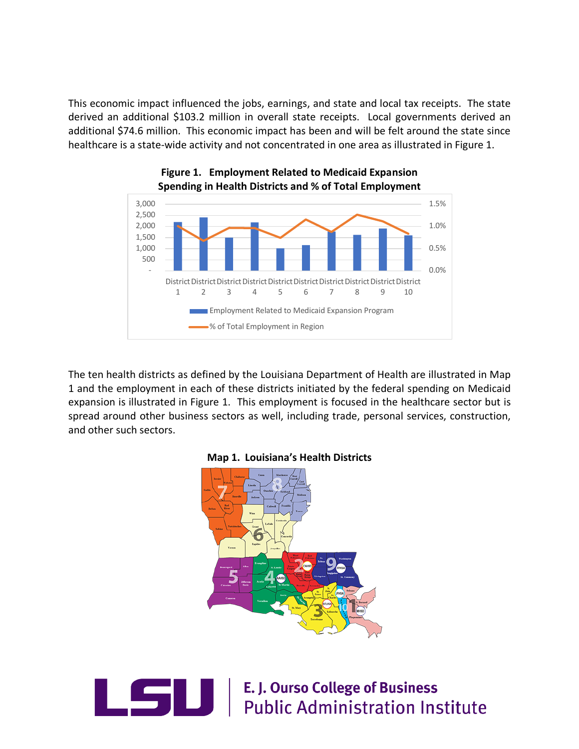This economic impact influenced the jobs, earnings, and state and local tax receipts. The state derived an additional \$103.2 million in overall state receipts. Local governments derived an additional \$74.6 million. This economic impact has been and will be felt around the state since healthcare is a state-wide activity and not concentrated in one area as illustrated in Figure 1.



### **Figure 1. Employment Related to Medicaid Expansion Spending in Health Districts and % of Total Employment**

The ten health districts as defined by the Louisiana Department of Health are illustrated in Map 1 and the employment in each of these districts initiated by the federal spending on Medicaid expansion is illustrated in Figure 1. This employment is focused in the healthcare sector but is spread around other business sectors as well, including trade, personal services, construction, and other such sectors.





**CONTROVIS E. J. Ourso College of Business<br>Public Administration Institute**